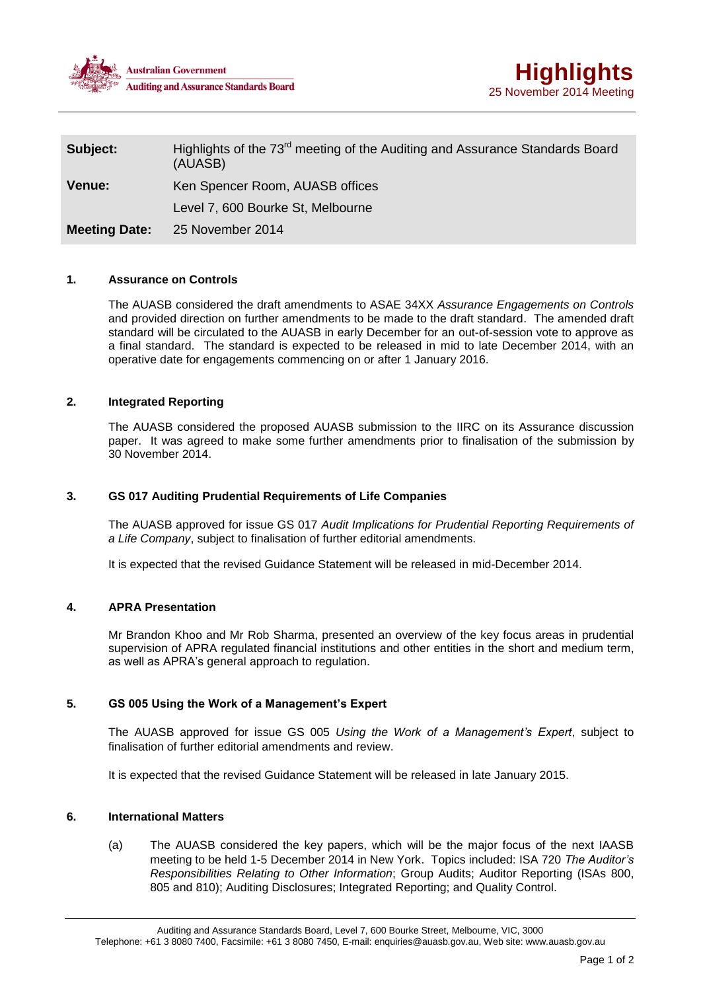



| Subject:             | Highlights of the 73 <sup>rd</sup> meeting of the Auditing and Assurance Standards Board<br>(AUASB) |
|----------------------|-----------------------------------------------------------------------------------------------------|
| <b>Venue:</b>        | Ken Spencer Room, AUASB offices                                                                     |
|                      | Level 7, 600 Bourke St, Melbourne                                                                   |
| <b>Meeting Date:</b> | 25 November 2014                                                                                    |

#### **1. Assurance on Controls**

The AUASB considered the draft amendments to ASAE 34XX *Assurance Engagements on Controls* and provided direction on further amendments to be made to the draft standard. The amended draft standard will be circulated to the AUASB in early December for an out-of-session vote to approve as a final standard. The standard is expected to be released in mid to late December 2014, with an operative date for engagements commencing on or after 1 January 2016.

# **2. Integrated Reporting**

The AUASB considered the proposed AUASB submission to the IIRC on its Assurance discussion paper. It was agreed to make some further amendments prior to finalisation of the submission by 30 November 2014.

### **3. GS 017 Auditing Prudential Requirements of Life Companies**

The AUASB approved for issue GS 017 *Audit Implications for Prudential Reporting Requirements of a Life Company*, subject to finalisation of further editorial amendments.

It is expected that the revised Guidance Statement will be released in mid-December 2014.

#### **4. APRA Presentation**

Mr Brandon Khoo and Mr Rob Sharma, presented an overview of the key focus areas in prudential supervision of APRA regulated financial institutions and other entities in the short and medium term, as well as APRA's general approach to regulation.

#### **5. GS 005 Using the Work of a Management's Expert**

The AUASB approved for issue GS 005 *Using the Work of a Management's Expert*, subject to finalisation of further editorial amendments and review.

It is expected that the revised Guidance Statement will be released in late January 2015.

## **6. International Matters**

(a) The AUASB considered the key papers, which will be the major focus of the next IAASB meeting to be held 1-5 December 2014 in New York. Topics included: ISA 720 *The Auditor's Responsibilities Relating to Other Information*; Group Audits; Auditor Reporting (ISAs 800, 805 and 810); Auditing Disclosures; Integrated Reporting; and Quality Control.